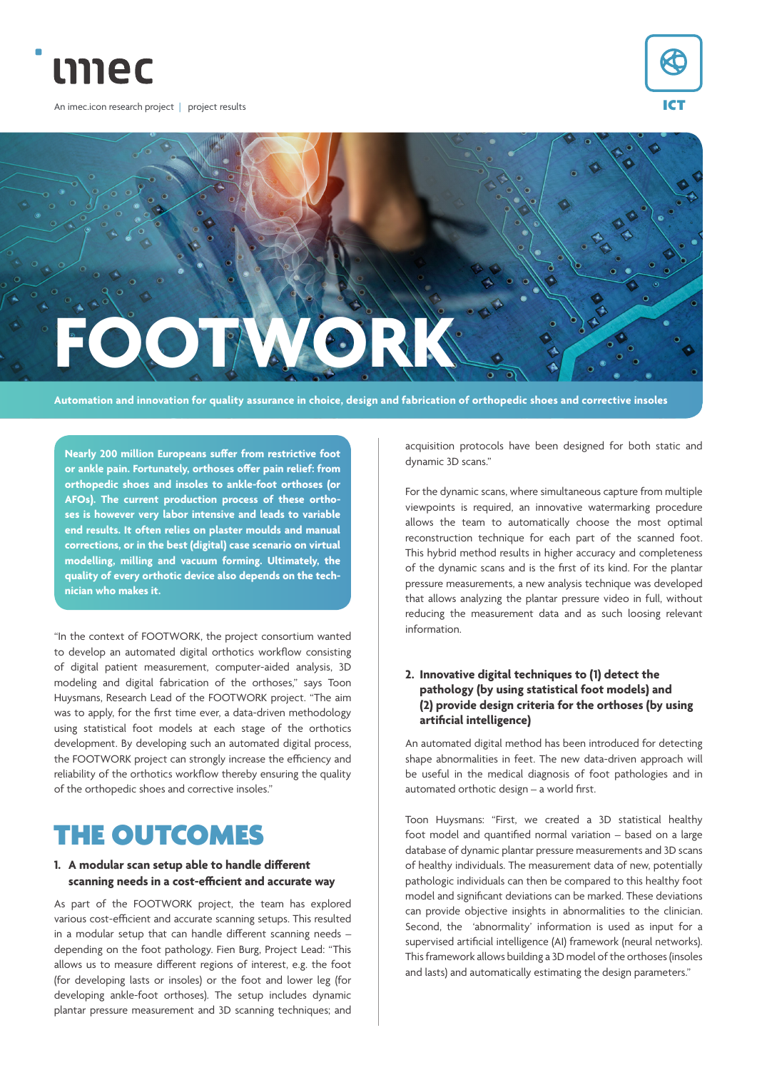

An imec.icon research project | project results





**Automation and innovation for quality assurance in choice, design and fabrication of orthopedic shoes and corrective insoles**

**Nearly 200 million Europeans suffer from restrictive foot or ankle pain. Fortunately, orthoses offer pain relief: from orthopedic shoes and insoles to ankle-foot orthoses (or AFOs). The current production process of these orthoses is however very labor intensive and leads to variable end results. It often relies on plaster moulds and manual corrections, or in the best (digital) case scenario on virtual modelling, milling and vacuum forming. Ultimately, the quality of every orthotic device also depends on the technician who makes it.**

"In the context of FOOTWORK, the project consortium wanted to develop an automated digital orthotics workflow consisting of digital patient measurement, computer-aided analysis, 3D modeling and digital fabrication of the orthoses," says Toon Huysmans, Research Lead of the FOOTWORK project. "The aim was to apply, for the first time ever, a data-driven methodology using statistical foot models at each stage of the orthotics development. By developing such an automated digital process, the FOOTWORK project can strongly increase the efficiency and reliability of the orthotics workflow thereby ensuring the quality of the orthopedic shoes and corrective insoles."

## THE OUTCOMES

#### **1. A modular scan setup able to handle different scanning needs in a cost-efficient and accurate way**

As part of the FOOTWORK project, the team has explored various cost-efficient and accurate scanning setups. This resulted in a modular setup that can handle different scanning needs – depending on the foot pathology. Fien Burg, Project Lead: "This allows us to measure different regions of interest, e.g. the foot (for developing lasts or insoles) or the foot and lower leg (for developing ankle-foot orthoses). The setup includes dynamic plantar pressure measurement and 3D scanning techniques; and

acquisition protocols have been designed for both static and dynamic 3D scans."

For the dynamic scans, where simultaneous capture from multiple viewpoints is required, an innovative watermarking procedure allows the team to automatically choose the most optimal reconstruction technique for each part of the scanned foot. This hybrid method results in higher accuracy and completeness of the dynamic scans and is the first of its kind. For the plantar pressure measurements, a new analysis technique was developed that allows analyzing the plantar pressure video in full, without reducing the measurement data and as such loosing relevant information.

### **2. Innovative digital techniques to (1) detect the pathology (by using statistical foot models) and (2) provide design criteria for the orthoses (by using artificial intelligence)**

An automated digital method has been introduced for detecting shape abnormalities in feet. The new data-driven approach will be useful in the medical diagnosis of foot pathologies and in automated orthotic design – a world first.

Toon Huysmans: "First, we created a 3D statistical healthy foot model and quantified normal variation – based on a large database of dynamic plantar pressure measurements and 3D scans of healthy individuals. The measurement data of new, potentially pathologic individuals can then be compared to this healthy foot model and significant deviations can be marked. These deviations can provide objective insights in abnormalities to the clinician. Second, the 'abnormality' information is used as input for a supervised artificial intelligence (AI) framework (neural networks). This framework allows building a 3D model of the orthoses (insoles and lasts) and automatically estimating the design parameters."